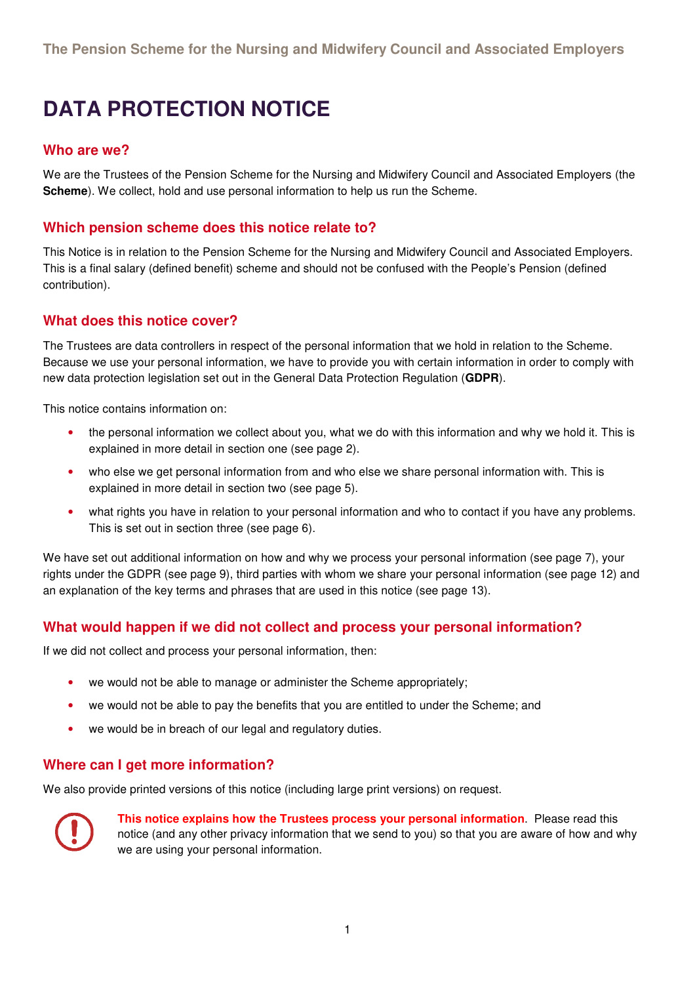# **DATA PROTECTION NOTICE**

#### **Who are we?**

We are the Trustees of the Pension Scheme for the Nursing and Midwifery Council and Associated Employers (the **Scheme**). We collect, hold and use personal information to help us run the Scheme.

#### **Which pension scheme does this notice relate to?**

This Notice is in relation to the Pension Scheme for the Nursing and Midwifery Council and Associated Employers. This is a final salary (defined benefit) scheme and should not be confused with the People's Pension (defined contribution).

#### **What does this notice cover?**

The Trustees are data controllers in respect of the personal information that we hold in relation to the Scheme. Because we use your personal information, we have to provide you with certain information in order to comply with new data protection legislation set out in the General Data Protection Regulation (**GDPR**).

This notice contains information on:

- the personal information we collect about you, what we do with this information and why we hold it. This is explained in more detail in section one (see page 2).
- who else we get personal information from and who else we share personal information with. This is explained in more detail in section two (see page 5).
- what rights you have in relation to your personal information and who to contact if you have any problems. This is set out in section three (see page 6).

We have set out additional information on how and why we process your personal information (see page 7), your rights under the GDPR (see page 9), third parties with whom we share your personal information (see page 12) and an explanation of the key terms and phrases that are used in this notice (see page 13).

#### **What would happen if we did not collect and process your personal information?**

If we did not collect and process your personal information, then:

- we would not be able to manage or administer the Scheme appropriately;
- we would not be able to pay the benefits that you are entitled to under the Scheme; and
- we would be in breach of our legal and regulatory duties.

#### **Where can I get more information?**

We also provide printed versions of this notice (including large print versions) on request.



**This notice explains how the Trustees process your personal information**. Please read this notice (and any other privacy information that we send to you) so that you are aware of how and why we are using your personal information.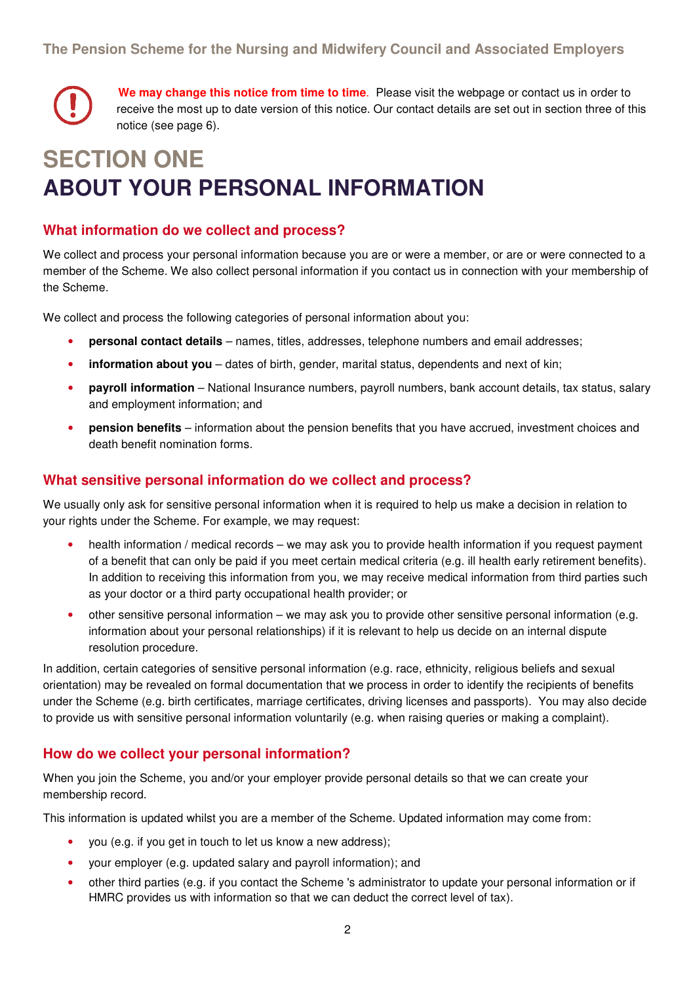**We may change this notice from time to time**. Please visit the webpage or contact us in order to receive the most up to date version of this notice. Our contact details are set out in section three of this notice (see page 6).

# **SECTION ONE ABOUT YOUR PERSONAL INFORMATION**

#### **What information do we collect and process?**

We collect and process your personal information because you are or were a member, or are or were connected to a member of the Scheme. We also collect personal information if you contact us in connection with your membership of the Scheme.

We collect and process the following categories of personal information about you:

- **personal contact details** names, titles, addresses, telephone numbers and email addresses;
- **information about you** dates of birth, gender, marital status, dependents and next of kin;
- **payroll information** National Insurance numbers, payroll numbers, bank account details, tax status, salary and employment information; and
- **pension benefits** information about the pension benefits that you have accrued, investment choices and death benefit nomination forms.

#### **What sensitive personal information do we collect and process?**

We usually only ask for sensitive personal information when it is required to help us make a decision in relation to your rights under the Scheme. For example, we may request:

- health information / medical records we may ask you to provide health information if you request payment of a benefit that can only be paid if you meet certain medical criteria (e.g. ill health early retirement benefits). In addition to receiving this information from you, we may receive medical information from third parties such as your doctor or a third party occupational health provider; or
- other sensitive personal information we may ask you to provide other sensitive personal information (e.g. information about your personal relationships) if it is relevant to help us decide on an internal dispute resolution procedure.

In addition, certain categories of sensitive personal information (e.g. race, ethnicity, religious beliefs and sexual orientation) may be revealed on formal documentation that we process in order to identify the recipients of benefits under the Scheme (e.g. birth certificates, marriage certificates, driving licenses and passports). You may also decide to provide us with sensitive personal information voluntarily (e.g. when raising queries or making a complaint).

### **How do we collect your personal information?**

When you join the Scheme, you and/or your employer provide personal details so that we can create your membership record.

This information is updated whilst you are a member of the Scheme. Updated information may come from:

- you (e.g. if you get in touch to let us know a new address);
- your employer (e.g. updated salary and payroll information); and
- other third parties (e.g. if you contact the Scheme 's administrator to update your personal information or if HMRC provides us with information so that we can deduct the correct level of tax).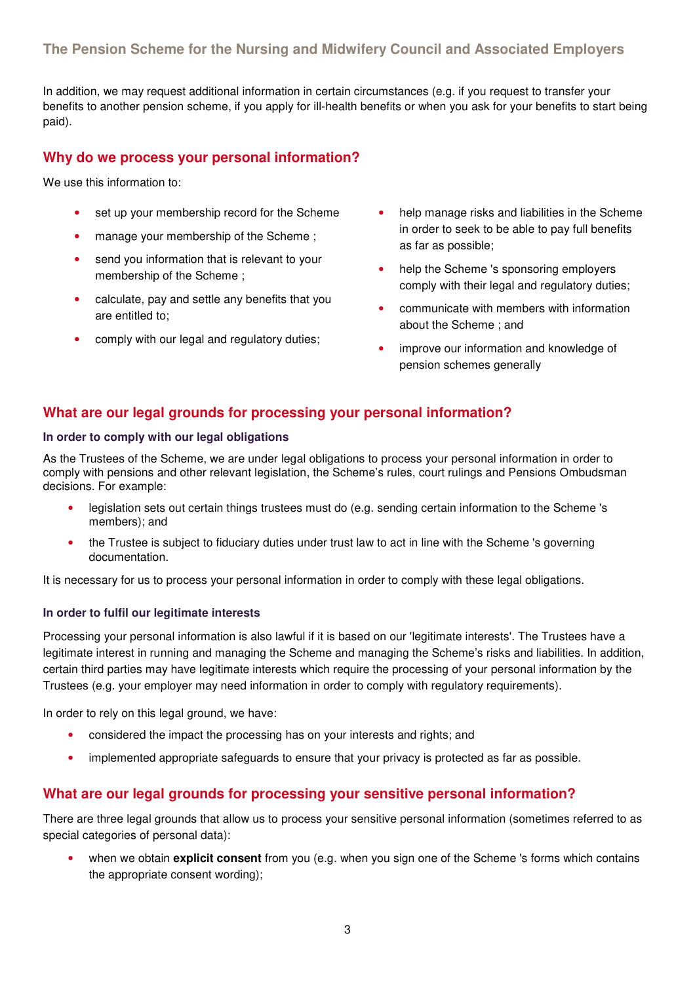#### **The Pension Scheme for the Nursing and Midwifery Council and Associated Employers**

In addition, we may request additional information in certain circumstances (e.g. if you request to transfer your benefits to another pension scheme, if you apply for ill-health benefits or when you ask for your benefits to start being paid).

#### **Why do we process your personal information?**

We use this information to:

- set up your membership record for the Scheme
- manage your membership of the Scheme ;
- send you information that is relevant to your membership of the Scheme ;
- calculate, pay and settle any benefits that you are entitled to;
- comply with our legal and regulatory duties;
- help manage risks and liabilities in the Scheme in order to seek to be able to pay full benefits as far as possible;
- help the Scheme 's sponsoring employers comply with their legal and regulatory duties;
- communicate with members with information about the Scheme ; and
- improve our information and knowledge of pension schemes generally

#### **What are our legal grounds for processing your personal information?**

#### **In order to comply with our legal obligations**

As the Trustees of the Scheme, we are under legal obligations to process your personal information in order to comply with pensions and other relevant legislation, the Scheme's rules, court rulings and Pensions Ombudsman decisions. For example:

- legislation sets out certain things trustees must do (e.g. sending certain information to the Scheme 's members); and
- the Trustee is subject to fiduciary duties under trust law to act in line with the Scheme 's governing documentation.

It is necessary for us to process your personal information in order to comply with these legal obligations.

#### **In order to fulfil our legitimate interests**

Processing your personal information is also lawful if it is based on our 'legitimate interests'. The Trustees have a legitimate interest in running and managing the Scheme and managing the Scheme's risks and liabilities. In addition, certain third parties may have legitimate interests which require the processing of your personal information by the Trustees (e.g. your employer may need information in order to comply with regulatory requirements).

In order to rely on this legal ground, we have:

- considered the impact the processing has on your interests and rights; and
- implemented appropriate safeguards to ensure that your privacy is protected as far as possible.

#### **What are our legal grounds for processing your sensitive personal information?**

There are three legal grounds that allow us to process your sensitive personal information (sometimes referred to as special categories of personal data):

• when we obtain **explicit consent** from you (e.g. when you sign one of the Scheme 's forms which contains the appropriate consent wording);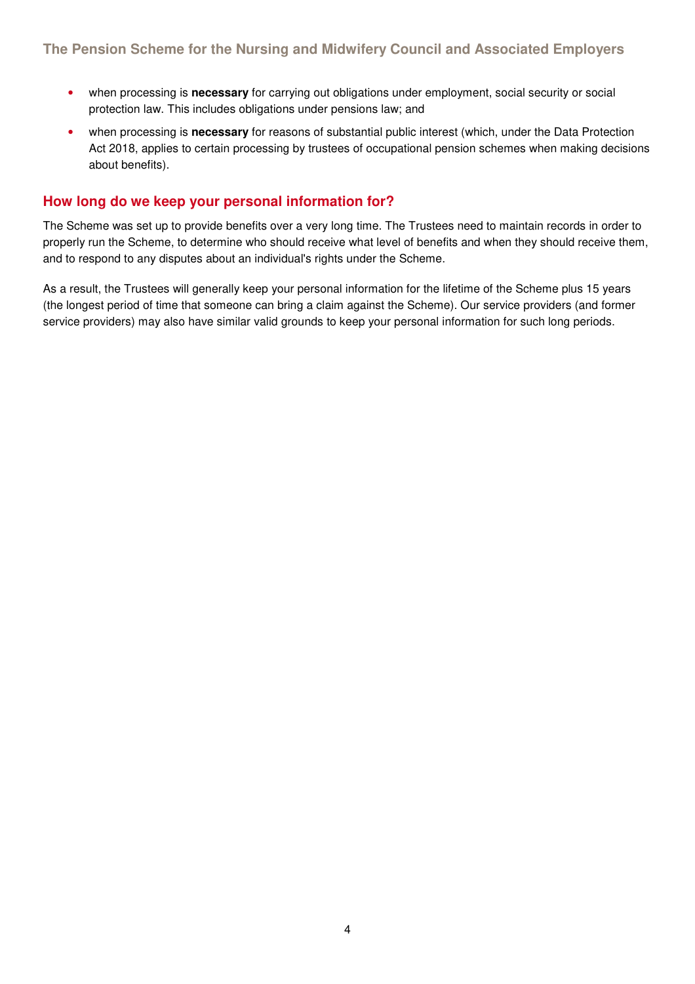- when processing is **necessary** for carrying out obligations under employment, social security or social protection law. This includes obligations under pensions law; and
- when processing is **necessary** for reasons of substantial public interest (which, under the Data Protection Act 2018, applies to certain processing by trustees of occupational pension schemes when making decisions about benefits).

#### **How long do we keep your personal information for?**

The Scheme was set up to provide benefits over a very long time. The Trustees need to maintain records in order to properly run the Scheme, to determine who should receive what level of benefits and when they should receive them, and to respond to any disputes about an individual's rights under the Scheme.

As a result, the Trustees will generally keep your personal information for the lifetime of the Scheme plus 15 years (the longest period of time that someone can bring a claim against the Scheme). Our service providers (and former service providers) may also have similar valid grounds to keep your personal information for such long periods.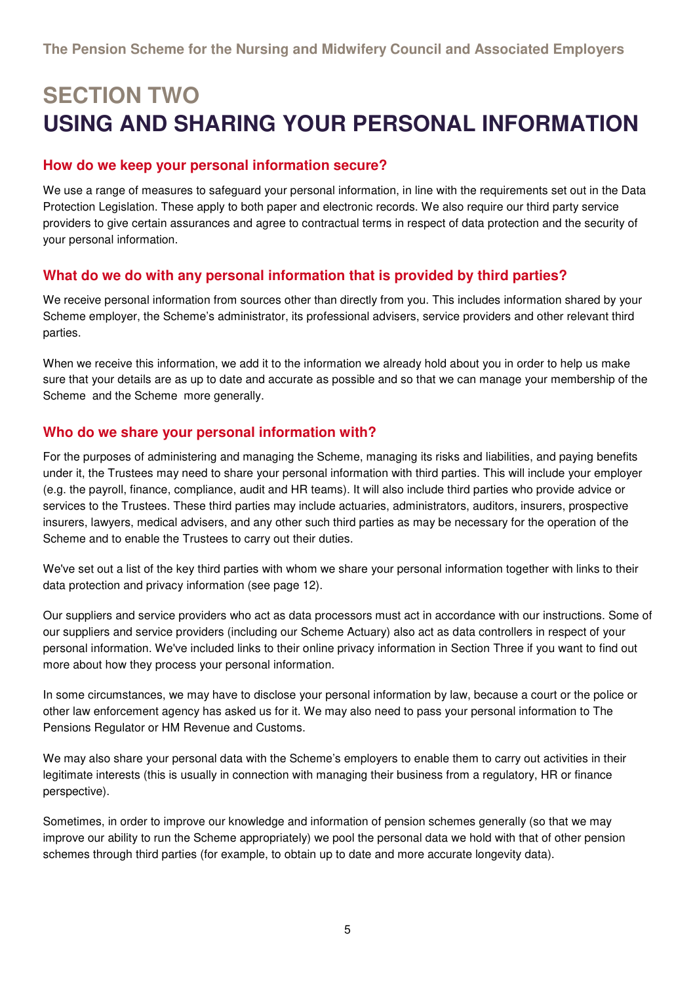## **SECTION TWO USING AND SHARING YOUR PERSONAL INFORMATION**

#### **How do we keep your personal information secure?**

We use a range of measures to safeguard your personal information, in line with the requirements set out in the Data Protection Legislation. These apply to both paper and electronic records. We also require our third party service providers to give certain assurances and agree to contractual terms in respect of data protection and the security of your personal information.

#### **What do we do with any personal information that is provided by third parties?**

We receive personal information from sources other than directly from you. This includes information shared by your Scheme employer, the Scheme's administrator, its professional advisers, service providers and other relevant third parties.

When we receive this information, we add it to the information we already hold about you in order to help us make sure that your details are as up to date and accurate as possible and so that we can manage your membership of the Scheme and the Scheme more generally.

#### **Who do we share your personal information with?**

For the purposes of administering and managing the Scheme, managing its risks and liabilities, and paying benefits under it, the Trustees may need to share your personal information with third parties. This will include your employer (e.g. the payroll, finance, compliance, audit and HR teams). It will also include third parties who provide advice or services to the Trustees. These third parties may include actuaries, administrators, auditors, insurers, prospective insurers, lawyers, medical advisers, and any other such third parties as may be necessary for the operation of the Scheme and to enable the Trustees to carry out their duties.

We've set out a list of the key third parties with whom we share your personal information together with links to their data protection and privacy information (see page 12).

Our suppliers and service providers who act as data processors must act in accordance with our instructions. Some of our suppliers and service providers (including our Scheme Actuary) also act as data controllers in respect of your personal information. We've included links to their online privacy information in Section Three if you want to find out more about how they process your personal information.

In some circumstances, we may have to disclose your personal information by law, because a court or the police or other law enforcement agency has asked us for it. We may also need to pass your personal information to The Pensions Regulator or HM Revenue and Customs.

We may also share your personal data with the Scheme's employers to enable them to carry out activities in their legitimate interests (this is usually in connection with managing their business from a regulatory, HR or finance perspective).

Sometimes, in order to improve our knowledge and information of pension schemes generally (so that we may improve our ability to run the Scheme appropriately) we pool the personal data we hold with that of other pension schemes through third parties (for example, to obtain up to date and more accurate longevity data).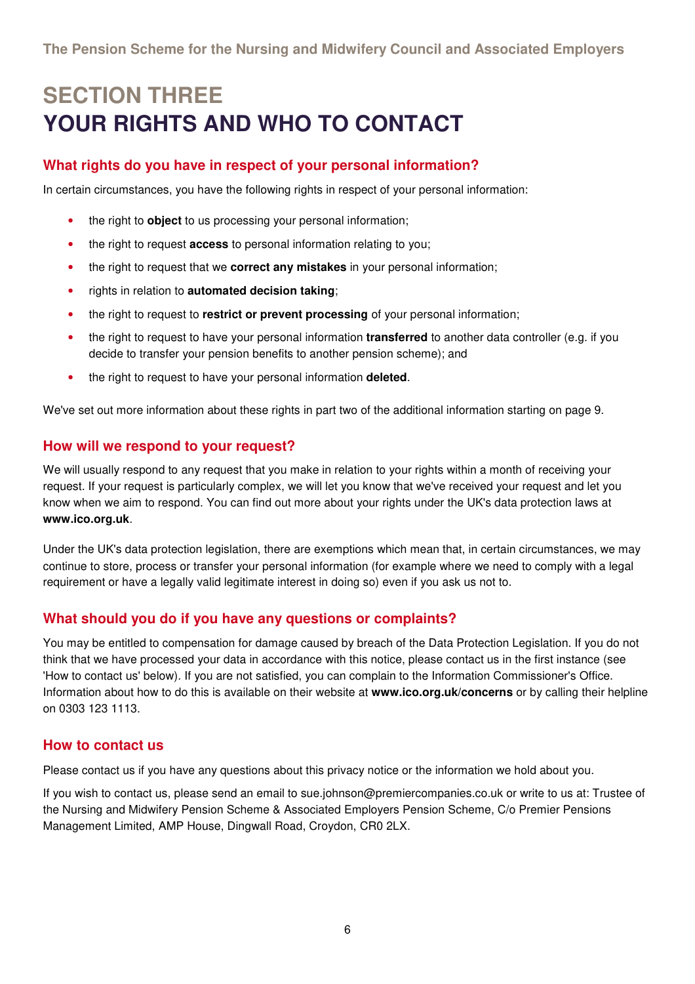# **SECTION THREE YOUR RIGHTS AND WHO TO CONTACT**

### **What rights do you have in respect of your personal information?**

In certain circumstances, you have the following rights in respect of your personal information:

- the right to **object** to us processing your personal information;
- the right to request **access** to personal information relating to you;
- the right to request that we **correct any mistakes** in your personal information;
- rights in relation to **automated decision taking**;
- the right to request to **restrict or prevent processing** of your personal information;
- the right to request to have your personal information **transferred** to another data controller (e.g. if you decide to transfer your pension benefits to another pension scheme); and
- the right to request to have your personal information **deleted**.

We've set out more information about these rights in part two of the additional information starting on page 9.

#### **How will we respond to your request?**

We will usually respond to any request that you make in relation to your rights within a month of receiving your request. If your request is particularly complex, we will let you know that we've received your request and let you know when we aim to respond. You can find out more about your rights under the UK's data protection laws at **www.ico.org.uk**.

Under the UK's data protection legislation, there are exemptions which mean that, in certain circumstances, we may continue to store, process or transfer your personal information (for example where we need to comply with a legal requirement or have a legally valid legitimate interest in doing so) even if you ask us not to.

#### **What should you do if you have any questions or complaints?**

You may be entitled to compensation for damage caused by breach of the Data Protection Legislation. If you do not think that we have processed your data in accordance with this notice, please contact us in the first instance (see 'How to contact us' below). If you are not satisfied, you can complain to the Information Commissioner's Office. Information about how to do this is available on their website at **www.ico.org.uk/concerns** or by calling their helpline on 0303 123 1113.

#### **How to contact us**

Please contact us if you have any questions about this privacy notice or the information we hold about you.

If you wish to contact us, please send an email to sue.johnson@premiercompanies.co.uk or write to us at: Trustee of the Nursing and Midwifery Pension Scheme & Associated Employers Pension Scheme, C/o Premier Pensions Management Limited, AMP House, Dingwall Road, Croydon, CR0 2LX.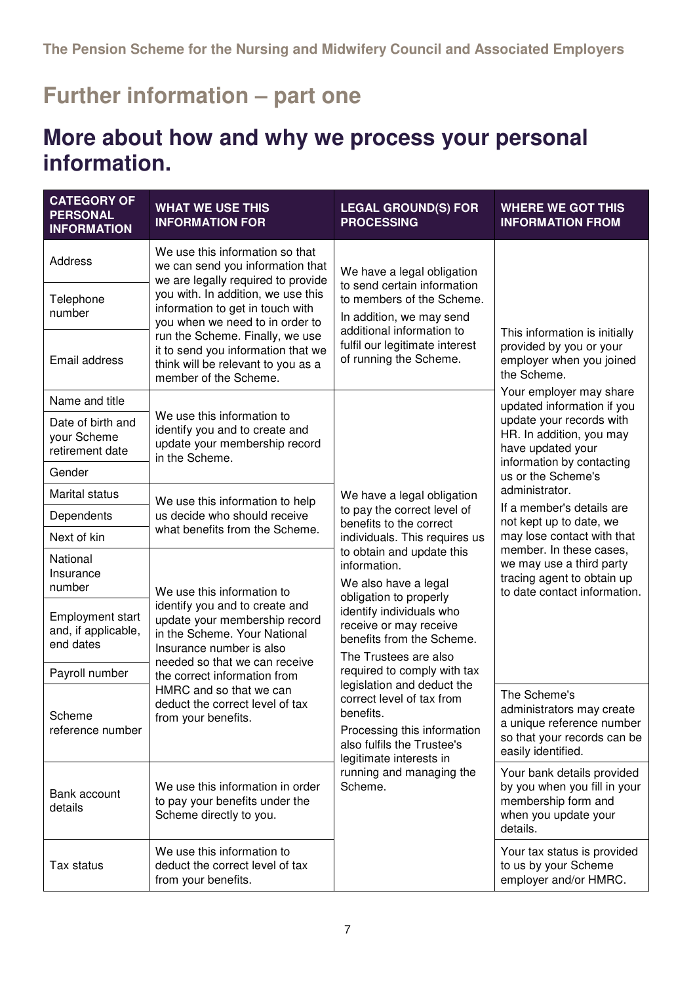### **Further information – part one**

### **More about how and why we process your personal information.**

| <b>CATEGORY OF</b><br><b>PERSONAL</b><br><b>INFORMATION</b> | <b>WHAT WE USE THIS</b><br><b>INFORMATION FOR</b>                                                                                                            | <b>LEGAL GROUND(S) FOR</b><br><b>PROCESSING</b>                                                                                                                                                                                                                                                                                                                          | <b>WHERE WE GOT THIS</b><br><b>INFORMATION FROM</b>                                                                                                                                                                                                                                                                                                                                                  |
|-------------------------------------------------------------|--------------------------------------------------------------------------------------------------------------------------------------------------------------|--------------------------------------------------------------------------------------------------------------------------------------------------------------------------------------------------------------------------------------------------------------------------------------------------------------------------------------------------------------------------|------------------------------------------------------------------------------------------------------------------------------------------------------------------------------------------------------------------------------------------------------------------------------------------------------------------------------------------------------------------------------------------------------|
| Address                                                     | We use this information so that<br>we can send you information that<br>we are legally required to provide                                                    | We have a legal obligation<br>to send certain information<br>to members of the Scheme.<br>In addition, we may send<br>additional information to<br>fulfil our legitimate interest<br>of running the Scheme.                                                                                                                                                              | This information is initially<br>provided by you or your<br>employer when you joined<br>the Scheme.<br>Your employer may share<br>updated information if you<br>update your records with<br>HR. In addition, you may<br>have updated your<br>information by contacting<br>us or the Scheme's<br>administrator.<br>If a member's details are<br>not kept up to date, we<br>may lose contact with that |
| Telephone<br>number                                         | you with. In addition, we use this<br>information to get in touch with<br>you when we need to in order to                                                    |                                                                                                                                                                                                                                                                                                                                                                          |                                                                                                                                                                                                                                                                                                                                                                                                      |
| Email address                                               | run the Scheme. Finally, we use<br>it to send you information that we<br>think will be relevant to you as a<br>member of the Scheme.                         |                                                                                                                                                                                                                                                                                                                                                                          |                                                                                                                                                                                                                                                                                                                                                                                                      |
| Name and title                                              |                                                                                                                                                              | We have a legal obligation<br>to pay the correct level of<br>benefits to the correct<br>individuals. This requires us                                                                                                                                                                                                                                                    |                                                                                                                                                                                                                                                                                                                                                                                                      |
| Date of birth and<br>your Scheme<br>retirement date         | We use this information to<br>identify you and to create and<br>update your membership record<br>in the Scheme.                                              |                                                                                                                                                                                                                                                                                                                                                                          |                                                                                                                                                                                                                                                                                                                                                                                                      |
| Gender                                                      |                                                                                                                                                              |                                                                                                                                                                                                                                                                                                                                                                          |                                                                                                                                                                                                                                                                                                                                                                                                      |
| Marital status                                              | We use this information to help                                                                                                                              |                                                                                                                                                                                                                                                                                                                                                                          |                                                                                                                                                                                                                                                                                                                                                                                                      |
| Dependents                                                  | us decide who should receive                                                                                                                                 |                                                                                                                                                                                                                                                                                                                                                                          |                                                                                                                                                                                                                                                                                                                                                                                                      |
| Next of kin                                                 | what benefits from the Scheme.                                                                                                                               |                                                                                                                                                                                                                                                                                                                                                                          |                                                                                                                                                                                                                                                                                                                                                                                                      |
| National<br>Insurance<br>number                             | We use this information to                                                                                                                                   | to obtain and update this<br>information.<br>We also have a legal                                                                                                                                                                                                                                                                                                        | member. In these cases,<br>we may use a third party<br>tracing agent to obtain up<br>to date contact information.                                                                                                                                                                                                                                                                                    |
| <b>Employment start</b><br>and, if applicable,<br>end dates | identify you and to create and<br>update your membership record<br>in the Scheme. Your National<br>Insurance number is also<br>needed so that we can receive | obligation to properly<br>identify individuals who<br>receive or may receive<br>benefits from the Scheme.<br>The Trustees are also<br>required to comply with tax<br>legislation and deduct the<br>correct level of tax from<br>benefits.<br>Processing this information<br>also fulfils the Trustee's<br>legitimate interests in<br>running and managing the<br>Scheme. |                                                                                                                                                                                                                                                                                                                                                                                                      |
| Payroll number                                              | the correct information from                                                                                                                                 |                                                                                                                                                                                                                                                                                                                                                                          |                                                                                                                                                                                                                                                                                                                                                                                                      |
| Scheme<br>reference number                                  | HMRC and so that we can<br>deduct the correct level of tax<br>from your benefits.                                                                            |                                                                                                                                                                                                                                                                                                                                                                          | The Scheme's<br>administrators may create<br>a unique reference number<br>so that your records can be<br>easily identified.                                                                                                                                                                                                                                                                          |
| Bank account<br>details                                     | We use this information in order<br>to pay your benefits under the<br>Scheme directly to you.                                                                |                                                                                                                                                                                                                                                                                                                                                                          | Your bank details provided<br>by you when you fill in your<br>membership form and<br>when you update your<br>details.                                                                                                                                                                                                                                                                                |
| Tax status                                                  | We use this information to<br>deduct the correct level of tax<br>from your benefits.                                                                         |                                                                                                                                                                                                                                                                                                                                                                          | Your tax status is provided<br>to us by your Scheme<br>employer and/or HMRC.                                                                                                                                                                                                                                                                                                                         |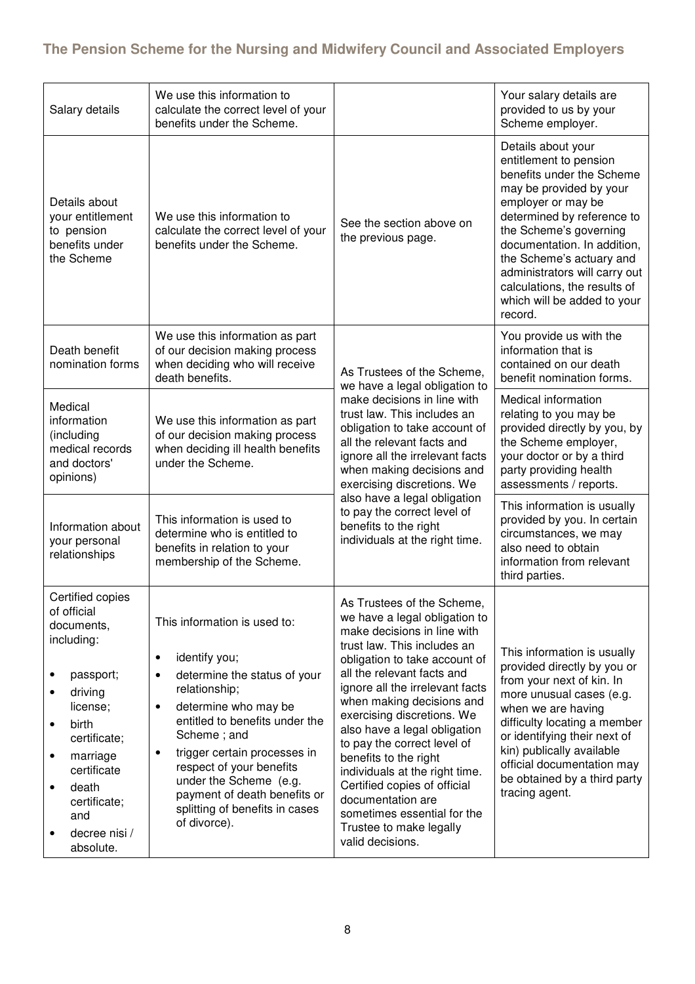### **The Pension Scheme for the Nursing and Midwifery Council and Associated Employers**

| Salary details                                                                                                                                                                                                                                | We use this information to<br>calculate the correct level of your<br>benefits under the Scheme.                                                                                                                                                                                                                                                                                     |                                                                                                                                                                                                                                                                                                                                                                                                                                                                                                                                                     | Your salary details are<br>provided to us by your<br>Scheme employer.                                                                                                                                                                                                                                                                                    |
|-----------------------------------------------------------------------------------------------------------------------------------------------------------------------------------------------------------------------------------------------|-------------------------------------------------------------------------------------------------------------------------------------------------------------------------------------------------------------------------------------------------------------------------------------------------------------------------------------------------------------------------------------|-----------------------------------------------------------------------------------------------------------------------------------------------------------------------------------------------------------------------------------------------------------------------------------------------------------------------------------------------------------------------------------------------------------------------------------------------------------------------------------------------------------------------------------------------------|----------------------------------------------------------------------------------------------------------------------------------------------------------------------------------------------------------------------------------------------------------------------------------------------------------------------------------------------------------|
| Details about<br>your entitlement<br>to pension<br>benefits under<br>the Scheme                                                                                                                                                               | We use this information to<br>calculate the correct level of your<br>benefits under the Scheme.                                                                                                                                                                                                                                                                                     | See the section above on<br>the previous page.                                                                                                                                                                                                                                                                                                                                                                                                                                                                                                      | Details about your<br>entitlement to pension<br>benefits under the Scheme<br>may be provided by your<br>employer or may be<br>determined by reference to<br>the Scheme's governing<br>documentation. In addition,<br>the Scheme's actuary and<br>administrators will carry out<br>calculations, the results of<br>which will be added to your<br>record. |
| Death benefit<br>nomination forms                                                                                                                                                                                                             | We use this information as part<br>of our decision making process<br>when deciding who will receive<br>death benefits.                                                                                                                                                                                                                                                              | As Trustees of the Scheme,<br>we have a legal obligation to                                                                                                                                                                                                                                                                                                                                                                                                                                                                                         | You provide us with the<br>information that is<br>contained on our death<br>benefit nomination forms.                                                                                                                                                                                                                                                    |
| Medical<br>information<br>(including<br>medical records<br>and doctors'<br>opinions)                                                                                                                                                          | We use this information as part<br>of our decision making process<br>when deciding ill health benefits<br>under the Scheme.                                                                                                                                                                                                                                                         | make decisions in line with<br>trust law. This includes an<br>obligation to take account of<br>all the relevant facts and<br>ignore all the irrelevant facts<br>when making decisions and<br>exercising discretions. We                                                                                                                                                                                                                                                                                                                             | Medical information<br>relating to you may be<br>provided directly by you, by<br>the Scheme employer,<br>your doctor or by a third<br>party providing health<br>assessments / reports.                                                                                                                                                                   |
| Information about<br>your personal<br>relationships                                                                                                                                                                                           | This information is used to<br>determine who is entitled to<br>benefits in relation to your<br>membership of the Scheme.                                                                                                                                                                                                                                                            | also have a legal obligation<br>to pay the correct level of<br>benefits to the right<br>individuals at the right time.                                                                                                                                                                                                                                                                                                                                                                                                                              | This information is usually<br>provided by you. In certain<br>circumstances, we may<br>also need to obtain<br>information from relevant<br>third parties.                                                                                                                                                                                                |
| Certified copies<br>of official<br>documents,<br>including:<br>passport;<br>driving<br>$\bullet$<br>license;<br>birth<br>٠<br>certificate;<br>marriage<br>٠<br>certificate<br>death<br>٠<br>certificate;<br>and<br>decree nisi /<br>absolute. | This information is used to:<br>identify you;<br>$\bullet$<br>determine the status of your<br>٠<br>relationship;<br>determine who may be<br>$\bullet$<br>entitled to benefits under the<br>Scheme; and<br>trigger certain processes in<br>٠<br>respect of your benefits<br>under the Scheme (e.g.<br>payment of death benefits or<br>splitting of benefits in cases<br>of divorce). | As Trustees of the Scheme,<br>we have a legal obligation to<br>make decisions in line with<br>trust law. This includes an<br>obligation to take account of<br>all the relevant facts and<br>ignore all the irrelevant facts<br>when making decisions and<br>exercising discretions. We<br>also have a legal obligation<br>to pay the correct level of<br>benefits to the right<br>individuals at the right time.<br>Certified copies of official<br>documentation are<br>sometimes essential for the<br>Trustee to make legally<br>valid decisions. | This information is usually<br>provided directly by you or<br>from your next of kin. In<br>more unusual cases (e.g.<br>when we are having<br>difficulty locating a member<br>or identifying their next of<br>kin) publically available<br>official documentation may<br>be obtained by a third party<br>tracing agent.                                   |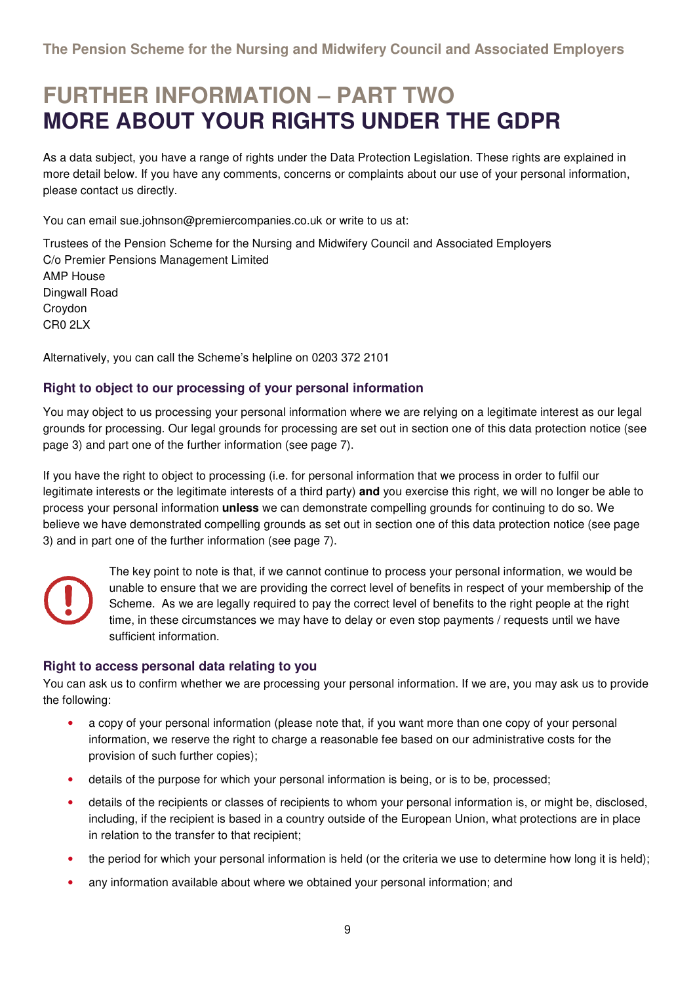### **FURTHER INFORMATION – PART TWO MORE ABOUT YOUR RIGHTS UNDER THE GDPR**

As a data subject, you have a range of rights under the Data Protection Legislation. These rights are explained in more detail below. If you have any comments, concerns or complaints about our use of your personal information, please contact us directly.

You can email sue.johnson@premiercompanies.co.uk or write to us at:

Trustees of the Pension Scheme for the Nursing and Midwifery Council and Associated Employers C/o Premier Pensions Management Limited AMP House Dingwall Road Croydon CR0 2LX

Alternatively, you can call the Scheme's helpline on 0203 372 2101

#### **Right to object to our processing of your personal information**

You may object to us processing your personal information where we are relying on a legitimate interest as our legal grounds for processing. Our legal grounds for processing are set out in section one of this data protection notice (see page 3) and part one of the further information (see page 7).

If you have the right to object to processing (i.e. for personal information that we process in order to fulfil our legitimate interests or the legitimate interests of a third party) **and** you exercise this right, we will no longer be able to process your personal information **unless** we can demonstrate compelling grounds for continuing to do so. We believe we have demonstrated compelling grounds as set out in section one of this data protection notice (see page 3) and in part one of the further information (see page 7).

The key point to note is that, if we cannot continue to process your personal information, we would be unable to ensure that we are providing the correct level of benefits in respect of your membership of the Scheme. As we are legally required to pay the correct level of benefits to the right people at the right time, in these circumstances we may have to delay or even stop payments / requests until we have sufficient information.

#### **Right to access personal data relating to you**

You can ask us to confirm whether we are processing your personal information. If we are, you may ask us to provide the following:

- a copy of your personal information (please note that, if you want more than one copy of your personal information, we reserve the right to charge a reasonable fee based on our administrative costs for the provision of such further copies);
- details of the purpose for which your personal information is being, or is to be, processed;
- details of the recipients or classes of recipients to whom your personal information is, or might be, disclosed, including, if the recipient is based in a country outside of the European Union, what protections are in place in relation to the transfer to that recipient;
- the period for which your personal information is held (or the criteria we use to determine how long it is held);
- any information available about where we obtained your personal information; and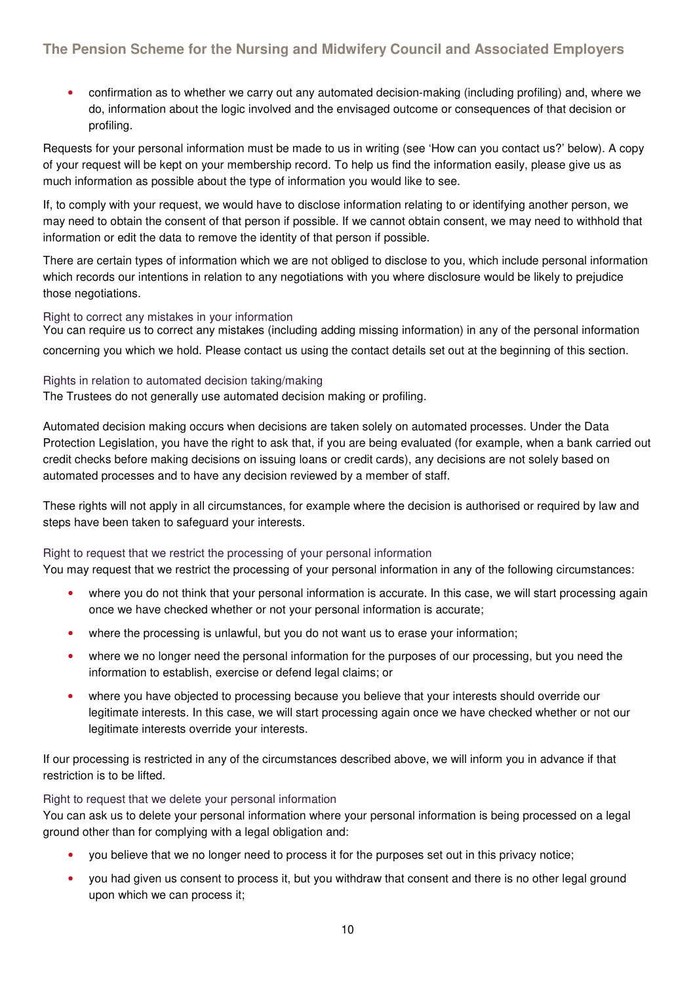• confirmation as to whether we carry out any automated decision-making (including profiling) and, where we do, information about the logic involved and the envisaged outcome or consequences of that decision or profiling.

Requests for your personal information must be made to us in writing (see 'How can you contact us?' below). A copy of your request will be kept on your membership record. To help us find the information easily, please give us as much information as possible about the type of information you would like to see.

If, to comply with your request, we would have to disclose information relating to or identifying another person, we may need to obtain the consent of that person if possible. If we cannot obtain consent, we may need to withhold that information or edit the data to remove the identity of that person if possible.

There are certain types of information which we are not obliged to disclose to you, which include personal information which records our intentions in relation to any negotiations with you where disclosure would be likely to prejudice those negotiations.

#### Right to correct any mistakes in your information

You can require us to correct any mistakes (including adding missing information) in any of the personal information concerning you which we hold. Please contact us using the contact details set out at the beginning of this section.

#### Rights in relation to automated decision taking/making

The Trustees do not generally use automated decision making or profiling.

Automated decision making occurs when decisions are taken solely on automated processes. Under the Data Protection Legislation, you have the right to ask that, if you are being evaluated (for example, when a bank carried out credit checks before making decisions on issuing loans or credit cards), any decisions are not solely based on automated processes and to have any decision reviewed by a member of staff.

These rights will not apply in all circumstances, for example where the decision is authorised or required by law and steps have been taken to safeguard your interests.

#### Right to request that we restrict the processing of your personal information

You may request that we restrict the processing of your personal information in any of the following circumstances:

- where you do not think that your personal information is accurate. In this case, we will start processing again once we have checked whether or not your personal information is accurate;
- where the processing is unlawful, but you do not want us to erase your information;
- where we no longer need the personal information for the purposes of our processing, but you need the information to establish, exercise or defend legal claims; or
- where you have objected to processing because you believe that your interests should override our legitimate interests. In this case, we will start processing again once we have checked whether or not our legitimate interests override your interests.

If our processing is restricted in any of the circumstances described above, we will inform you in advance if that restriction is to be lifted.

#### Right to request that we delete your personal information

You can ask us to delete your personal information where your personal information is being processed on a legal ground other than for complying with a legal obligation and:

- you believe that we no longer need to process it for the purposes set out in this privacy notice;
- you had given us consent to process it, but you withdraw that consent and there is no other legal ground upon which we can process it;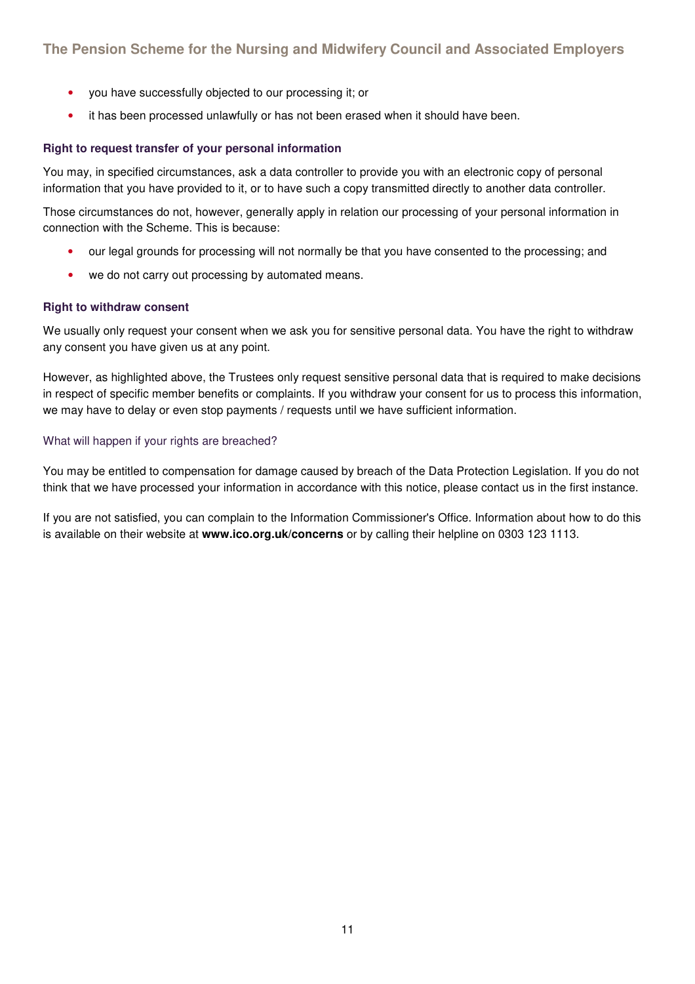- you have successfully objected to our processing it; or
- it has been processed unlawfully or has not been erased when it should have been.

#### **Right to request transfer of your personal information**

You may, in specified circumstances, ask a data controller to provide you with an electronic copy of personal information that you have provided to it, or to have such a copy transmitted directly to another data controller.

Those circumstances do not, however, generally apply in relation our processing of your personal information in connection with the Scheme. This is because:

- our legal grounds for processing will not normally be that you have consented to the processing; and
- we do not carry out processing by automated means.

#### **Right to withdraw consent**

We usually only request your consent when we ask you for sensitive personal data. You have the right to withdraw any consent you have given us at any point.

However, as highlighted above, the Trustees only request sensitive personal data that is required to make decisions in respect of specific member benefits or complaints. If you withdraw your consent for us to process this information, we may have to delay or even stop payments / requests until we have sufficient information.

#### What will happen if your rights are breached?

You may be entitled to compensation for damage caused by breach of the Data Protection Legislation. If you do not think that we have processed your information in accordance with this notice, please contact us in the first instance.

If you are not satisfied, you can complain to the Information Commissioner's Office. Information about how to do this is available on their website at **www.ico.org.uk/concerns** or by calling their helpline on 0303 123 1113.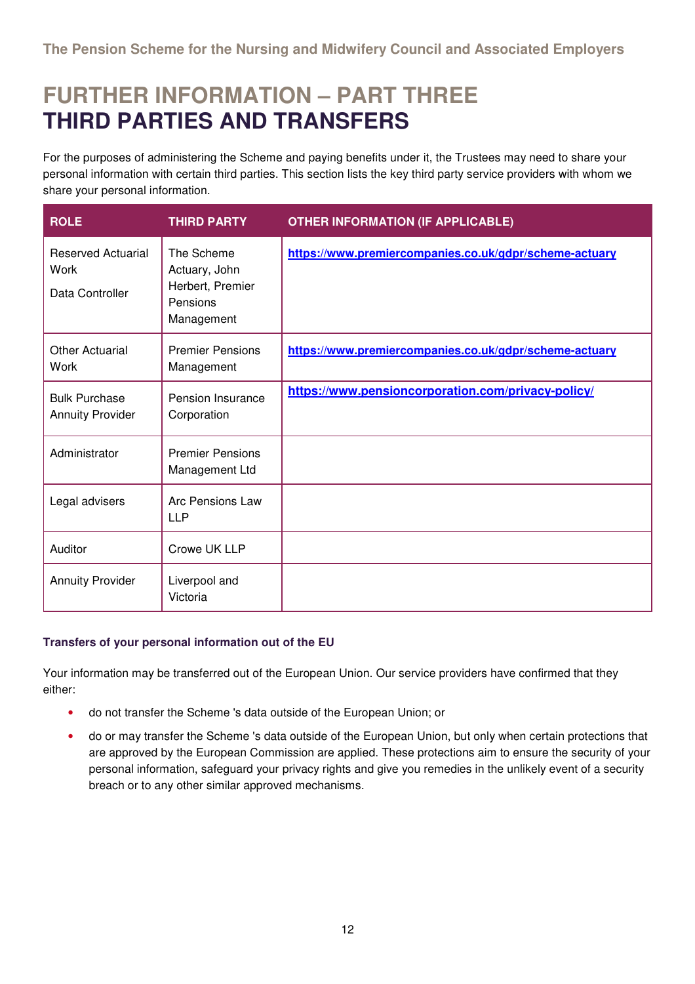### **FURTHER INFORMATION – PART THREE THIRD PARTIES AND TRANSFERS**

For the purposes of administering the Scheme and paying benefits under it, the Trustees may need to share your personal information with certain third parties. This section lists the key third party service providers with whom we share your personal information.

| <b>ROLE</b>                                                 | <b>THIRD PARTY</b>                                                        | <b>OTHER INFORMATION (IF APPLICABLE)</b>               |
|-------------------------------------------------------------|---------------------------------------------------------------------------|--------------------------------------------------------|
| <b>Reserved Actuarial</b><br><b>Work</b><br>Data Controller | The Scheme<br>Actuary, John<br>Herbert, Premier<br>Pensions<br>Management | https://www.premiercompanies.co.uk/gdpr/scheme-actuary |
| <b>Other Actuarial</b><br>Work                              | <b>Premier Pensions</b><br>Management                                     | https://www.premiercompanies.co.uk/gdpr/scheme-actuary |
| <b>Bulk Purchase</b><br><b>Annuity Provider</b>             | Pension Insurance<br>Corporation                                          | https://www.pensioncorporation.com/privacy-policy/     |
| Administrator                                               | <b>Premier Pensions</b><br>Management Ltd                                 |                                                        |
| Legal advisers                                              | Arc Pensions Law<br><b>LLP</b>                                            |                                                        |
| Auditor                                                     | Crowe UK LLP                                                              |                                                        |
| <b>Annuity Provider</b>                                     | Liverpool and<br>Victoria                                                 |                                                        |

#### **Transfers of your personal information out of the EU**

Your information may be transferred out of the European Union. Our service providers have confirmed that they either:

- do not transfer the Scheme 's data outside of the European Union; or
- do or may transfer the Scheme 's data outside of the European Union, but only when certain protections that are approved by the European Commission are applied. These protections aim to ensure the security of your personal information, safeguard your privacy rights and give you remedies in the unlikely event of a security breach or to any other similar approved mechanisms.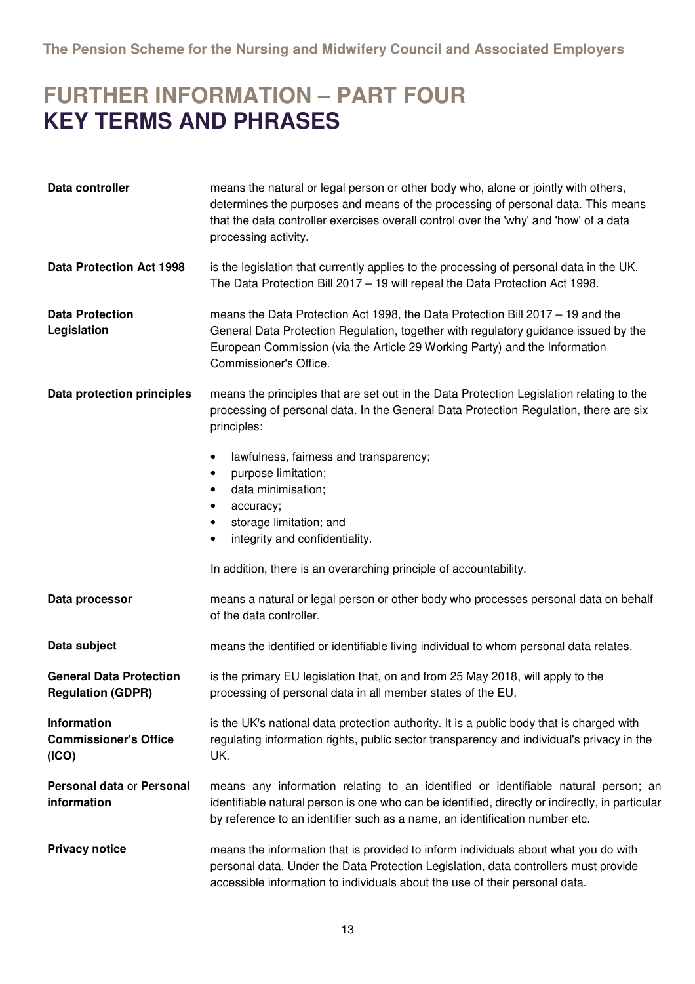### **FURTHER INFORMATION – PART FOUR KEY TERMS AND PHRASES**

| Data controller                                             | means the natural or legal person or other body who, alone or jointly with others,<br>determines the purposes and means of the processing of personal data. This means<br>that the data controller exercises overall control over the 'why' and 'how' of a data<br>processing activity. |  |
|-------------------------------------------------------------|-----------------------------------------------------------------------------------------------------------------------------------------------------------------------------------------------------------------------------------------------------------------------------------------|--|
| Data Protection Act 1998                                    | is the legislation that currently applies to the processing of personal data in the UK.<br>The Data Protection Bill 2017 - 19 will repeal the Data Protection Act 1998.                                                                                                                 |  |
| <b>Data Protection</b><br>Legislation                       | means the Data Protection Act 1998, the Data Protection Bill 2017 – 19 and the<br>General Data Protection Regulation, together with regulatory guidance issued by the<br>European Commission (via the Article 29 Working Party) and the Information<br>Commissioner's Office.           |  |
| Data protection principles                                  | means the principles that are set out in the Data Protection Legislation relating to the<br>processing of personal data. In the General Data Protection Regulation, there are six<br>principles:                                                                                        |  |
|                                                             | lawfulness, fairness and transparency;<br>$\bullet$<br>purpose limitation;<br>$\bullet$<br>data minimisation;<br>$\bullet$<br>accuracy;<br>٠<br>storage limitation; and<br>$\bullet$<br>integrity and confidentiality.<br>$\bullet$                                                     |  |
|                                                             | In addition, there is an overarching principle of accountability.                                                                                                                                                                                                                       |  |
| Data processor                                              | means a natural or legal person or other body who processes personal data on behalf<br>of the data controller.                                                                                                                                                                          |  |
| Data subject                                                | means the identified or identifiable living individual to whom personal data relates.                                                                                                                                                                                                   |  |
| <b>General Data Protection</b><br><b>Regulation (GDPR)</b>  | is the primary EU legislation that, on and from 25 May 2018, will apply to the<br>processing of personal data in all member states of the EU.                                                                                                                                           |  |
| <b>Information</b><br><b>Commissioner's Office</b><br>(ICO) | is the UK's national data protection authority. It is a public body that is charged with<br>regulating information rights, public sector transparency and individual's privacy in the<br>UK.                                                                                            |  |
| Personal data or Personal<br>information                    | means any information relating to an identified or identifiable natural person; an<br>identifiable natural person is one who can be identified, directly or indirectly, in particular<br>by reference to an identifier such as a name, an identification number etc.                    |  |
| <b>Privacy notice</b>                                       | means the information that is provided to inform individuals about what you do with<br>personal data. Under the Data Protection Legislation, data controllers must provide<br>accessible information to individuals about the use of their personal data.                               |  |